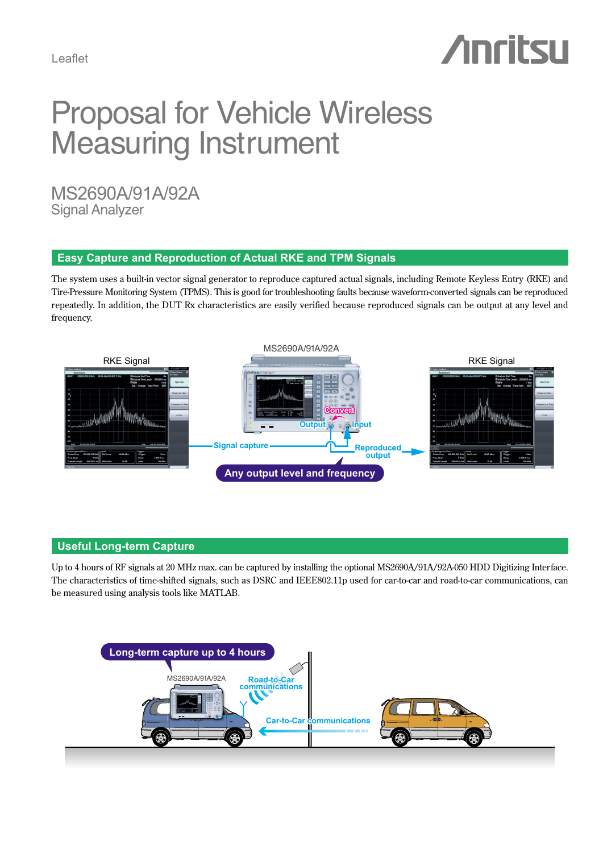# **Anritsu**

## **Proposal for Vehicle Wireless Measuring Instrument**

MS2690A/91A/92A **Signal Analyzer** 

## **Easy Capture and Reproduction of Actual RKE and TPM Signals**

The system uses a built-in vector signal generator to reproduce captured actual signals, including Remote Keyless Entry (RKE) and Tire-Pressure Monitoring System (TPMS). This is good for troubleshooting faults because waveform-converted signals can be reproduced repeatedly. In addition, the DUT Rx characteristics are easily verified because reproduced signals can be output at any level and .frequency



#### **Useful Long-term Capture**

Up to 4 hours of RF signals at 20 MHz max. can be captured by installing the optional MS2690A/91A/92A-050 HDD Digitizing Interface. The characteristics of time-shifted signals, such as DSRC and IEEE802.11p used for car-to-car and road-to-car communications, can be measured using analysis tools like MATLAB.